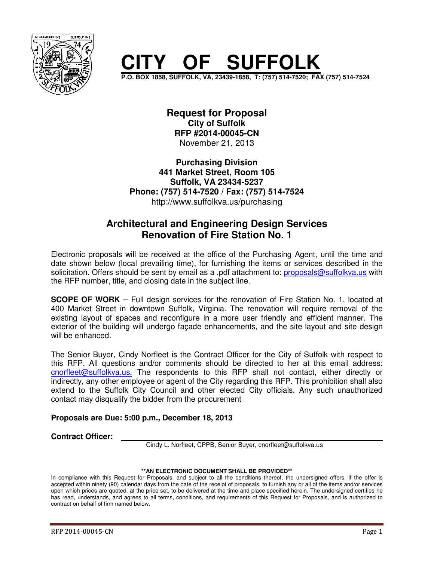

# **SUFFOLK**

**P.O. BOX 1858, SUFFOLK, VA, 23439-1858, T: (757) 514-7520; FAX (757) 514-7524** 

**Request for Proposal City of Suffolk RFP #2014-00045-CN**  November 21, 2013

**Purchasing Division 441 Market Street, Room 105 Suffolk, VA 23434-5237 Phone: (757) 514-7520 / Fax: (757) 514-7524**  http://www.suffolkva.us/purchasing

## **Architectural and Engineering Design Services Renovation of Fire Station No. 1**

Electronic proposals will be received at the office of the Purchasing Agent, until the time and date shown below (local prevailing time), for furnishing the items or services described in the solicitation. Offers should be sent by email as a .pdf attachment to: proposals@suffolkva.us with the RFP number, title, and closing date in the subject line.

**SCOPE OF WORK** – Full design services for the renovation of Fire Station No. 1, located at 400 Market Street in downtown Suffolk, Virginia. The renovation will require removal of the existing layout of spaces and reconfigure in a more user friendly and efficient manner. The exterior of the building will undergo façade enhancements, and the site layout and site design will be enhanced.

The Senior Buyer, Cindy Norfleet is the Contract Officer for the City of Suffolk with respect to this RFP. All questions and/or comments should be directed to her at this email address: cnorfleet@suffolkva.us. The respondents to this RFP shall not contact, either directly or indirectly, any other employee or agent of the City regarding this RFP. This prohibition shall also extend to the Suffolk City Council and other elected City officials. Any such unauthorized contact may disqualify the bidder from the procurement

#### **Proposals are Due: 5:00 p.m., December 18, 2013**

**Contract Officer:**

Cindy L. Norfleet, CPPB, Senior Buyer, cnorfleet@suffolkva.us

#### **\*\*AN ELECTRONIC DOCUMENT SHALL BE PROVIDED\*\***

In compliance with this Request for Proposals, and subject to all the conditions thereof, the undersigned offers, if the offer is accepted within ninety (90) calendar days from the date of the receipt of proposals, to furnish any or all of the items and/or services upon which prices are quoted, at the price set, to be delivered at the time and place specified herein. The undersigned certifies he has read, understands, and agrees to all terms, conditions, and requirements of this Request for Proposals, and is authorized to contract on behalf of firm named below.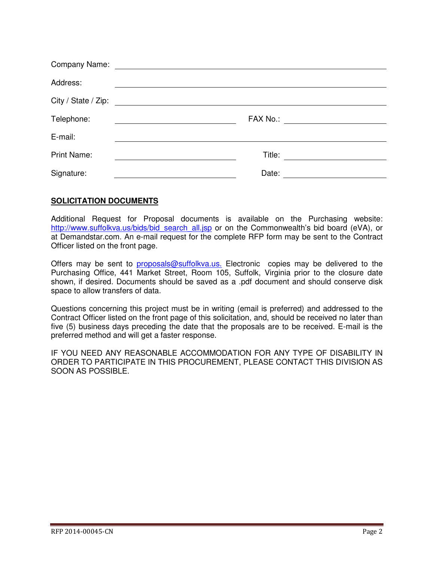| Address:            |                                                                                                                      |
|---------------------|----------------------------------------------------------------------------------------------------------------------|
| City / State / Zip: | <u> 1989 - Jan Stein Stein Stein Stein Stein Stein Stein Stein Stein Stein Stein Stein Stein Stein Stein Stein S</u> |
| Telephone:          |                                                                                                                      |
| E-mail:             |                                                                                                                      |
| <b>Print Name:</b>  |                                                                                                                      |
| Signature:          | Date:                                                                                                                |

#### **SOLICITATION DOCUMENTS**

Additional Request for Proposal documents is available on the Purchasing website: http://www.suffolkva.us/bids/bid\_search\_all.jsp or on the Commonwealth's bid board (eVA), or at Demandstar.com. An e-mail request for the complete RFP form may be sent to the Contract Officer listed on the front page.

Offers may be sent to proposals@suffolkva.us. Electronic copies may be delivered to the Purchasing Office, 441 Market Street, Room 105, Suffolk, Virginia prior to the closure date shown, if desired. Documents should be saved as a .pdf document and should conserve disk space to allow transfers of data.

Questions concerning this project must be in writing (email is preferred) and addressed to the Contract Officer listed on the front page of this solicitation, and, should be received no later than five (5) business days preceding the date that the proposals are to be received. E-mail is the preferred method and will get a faster response.

IF YOU NEED ANY REASONABLE ACCOMMODATION FOR ANY TYPE OF DISABILITY IN ORDER TO PARTICIPATE IN THIS PROCUREMENT, PLEASE CONTACT THIS DIVISION AS SOON AS POSSIBLE.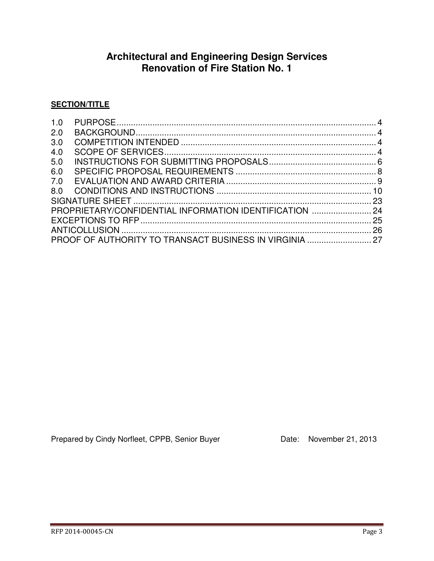## **Architectural and Engineering Design Services Renovation of Fire Station No. 1**

#### **SECTION/TITLE**

| 1.0 |                                                         |  |
|-----|---------------------------------------------------------|--|
| 2.0 |                                                         |  |
| 3.0 |                                                         |  |
| 4.0 |                                                         |  |
| 5.0 |                                                         |  |
| 6.0 |                                                         |  |
| 7.0 |                                                         |  |
| 8.0 |                                                         |  |
|     |                                                         |  |
|     | PROPRIETARY/CONFIDENTIAL INFORMATION IDENTIFICATION  24 |  |
|     |                                                         |  |
|     |                                                         |  |
|     |                                                         |  |

Prepared by Cindy Norfleet, CPPB, Senior Buyer Date: November 21, 2013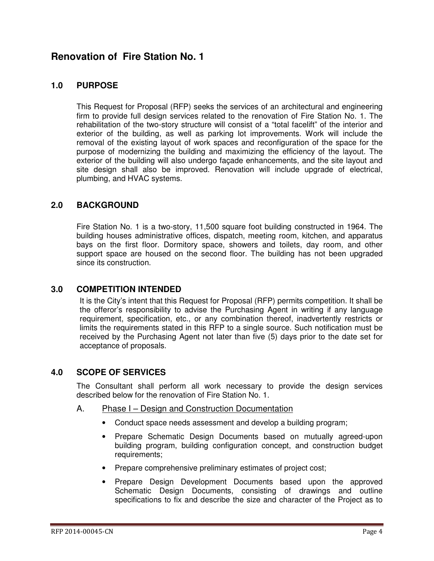## **Renovation of Fire Station No. 1**

#### **1.0 PURPOSE**

This Request for Proposal (RFP) seeks the services of an architectural and engineering firm to provide full design services related to the renovation of Fire Station No. 1. The rehabilitation of the two-story structure will consist of a "total facelift" of the interior and exterior of the building, as well as parking lot improvements. Work will include the removal of the existing layout of work spaces and reconfiguration of the space for the purpose of modernizing the building and maximizing the efficiency of the layout. The exterior of the building will also undergo façade enhancements, and the site layout and site design shall also be improved. Renovation will include upgrade of electrical, plumbing, and HVAC systems.

#### **2.0 BACKGROUND**

Fire Station No. 1 is a two-story, 11,500 square foot building constructed in 1964. The building houses administrative offices, dispatch, meeting room, kitchen, and apparatus bays on the first floor. Dormitory space, showers and toilets, day room, and other support space are housed on the second floor. The building has not been upgraded since its construction.

#### **3.0 COMPETITION INTENDED**

It is the City's intent that this Request for Proposal (RFP) permits competition. It shall be the offeror's responsibility to advise the Purchasing Agent in writing if any language requirement, specification, etc., or any combination thereof, inadvertently restricts or limits the requirements stated in this RFP to a single source. Such notification must be received by the Purchasing Agent not later than five (5) days prior to the date set for acceptance of proposals.

#### **4.0 SCOPE OF SERVICES**

The Consultant shall perform all work necessary to provide the design services described below for the renovation of Fire Station No. 1.

- A. Phase I Design and Construction Documentation
	- Conduct space needs assessment and develop a building program;
	- Prepare Schematic Design Documents based on mutually agreed-upon building program, building configuration concept, and construction budget requirements:
	- Prepare comprehensive preliminary estimates of project cost;
	- Prepare Design Development Documents based upon the approved Schematic Design Documents, consisting of drawings and outline specifications to fix and describe the size and character of the Project as to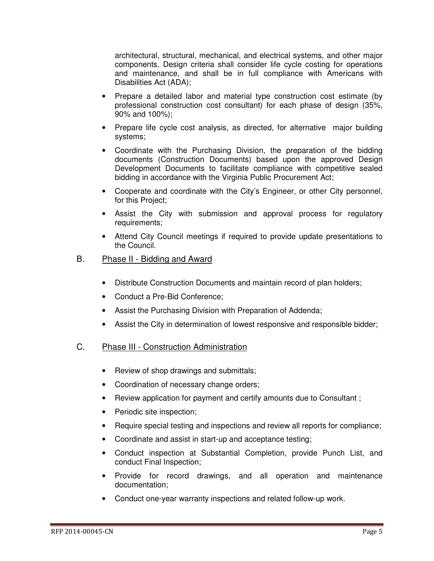architectural, structural, mechanical, and electrical systems, and other major components. Design criteria shall consider life cycle costing for operations and maintenance, and shall be in full compliance with Americans with Disabilities Act (ADA);

- Prepare a detailed labor and material type construction cost estimate (by professional construction cost consultant) for each phase of design (35%, 90% and 100%);
- Prepare life cycle cost analysis, as directed, for alternative major building systems;
- Coordinate with the Purchasing Division, the preparation of the bidding documents (Construction Documents) based upon the approved Design Development Documents to facilitate compliance with competitive sealed bidding in accordance with the Virginia Public Procurement Act;
- Cooperate and coordinate with the City's Engineer, or other City personnel, for this Project;
- Assist the City with submission and approval process for regulatory requirements;
- Attend City Council meetings if required to provide update presentations to the Council.

#### B. Phase II - Bidding and Award

- Distribute Construction Documents and maintain record of plan holders;
- Conduct a Pre-Bid Conference:
- Assist the Purchasing Division with Preparation of Addenda;
- Assist the City in determination of lowest responsive and responsible bidder;

#### C. Phase III - Construction Administration

- Review of shop drawings and submittals;
- Coordination of necessary change orders;
- Review application for payment and certify amounts due to Consultant;
- Periodic site inspection;
- Require special testing and inspections and review all reports for compliance;
- Coordinate and assist in start-up and acceptance testing;
- Conduct inspection at Substantial Completion, provide Punch List, and conduct Final Inspection;
- Provide for record drawings, and all operation and maintenance documentation;
- Conduct one-year warranty inspections and related follow-up work.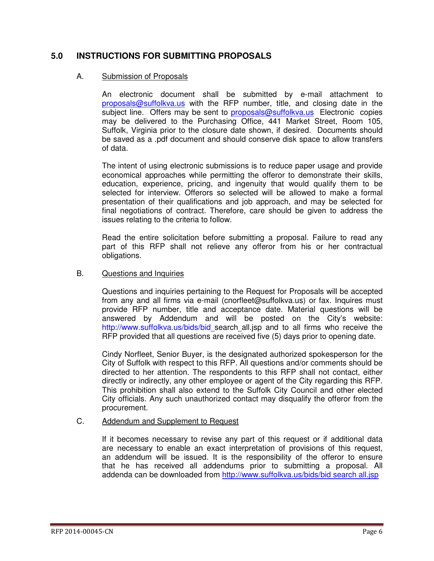#### **5.0 INSTRUCTIONS FOR SUBMITTING PROPOSALS**

#### A. Submission of Proposals

An electronic document shall be submitted by e-mail attachment to proposals@suffolkva.us with the RFP number, title, and closing date in the subject line. Offers may be sent to **proposals@suffolkva.us** Electronic copies may be delivered to the Purchasing Office, 441 Market Street, Room 105, Suffolk, Virginia prior to the closure date shown, if desired. Documents should be saved as a .pdf document and should conserve disk space to allow transfers of data.

The intent of using electronic submissions is to reduce paper usage and provide economical approaches while permitting the offeror to demonstrate their skills, education, experience, pricing, and ingenuity that would qualify them to be selected for interview. Offerors so selected will be allowed to make a formal presentation of their qualifications and job approach, and may be selected for final negotiations of contract. Therefore, care should be given to address the issues relating to the criteria to follow.

Read the entire solicitation before submitting a proposal. Failure to read any part of this RFP shall not relieve any offeror from his or her contractual obligations.

#### B. Questions and Inquiries

 Questions and inquiries pertaining to the Request for Proposals will be accepted from any and all firms via e-mail (cnorfleet@suffolkva.us) or fax. Inquires must provide RFP number, title and acceptance date. Material questions will be answered by Addendum and will be posted on the City's website: http://www.suffolkva.us/bids/bid\_search\_all.jsp and to all firms who receive the RFP provided that all questions are received five (5) days prior to opening date.

 Cindy Norfleet, Senior Buyer, is the designated authorized spokesperson for the City of Suffolk with respect to this RFP. All questions and/or comments should be directed to her attention. The respondents to this RFP shall not contact, either directly or indirectly, any other employee or agent of the City regarding this RFP. This prohibition shall also extend to the Suffolk City Council and other elected City officials. Any such unauthorized contact may disqualify the offeror from the procurement.

#### C. Addendum and Supplement to Request

 If it becomes necessary to revise any part of this request or if additional data are necessary to enable an exact interpretation of provisions of this request, an addendum will be issued. It is the responsibility of the offeror to ensure that he has received all addendums prior to submitting a proposal. All addenda can be downloaded from http://www.suffolkva.us/bids/bid search all.jsp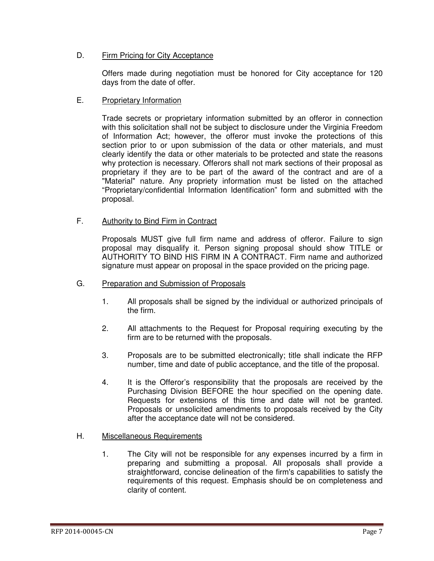#### D. Firm Pricing for City Acceptance

 Offers made during negotiation must be honored for City acceptance for 120 days from the date of offer.

#### E. Proprietary Information

 Trade secrets or proprietary information submitted by an offeror in connection with this solicitation shall not be subject to disclosure under the Virginia Freedom of Information Act; however, the offeror must invoke the protections of this section prior to or upon submission of the data or other materials, and must clearly identify the data or other materials to be protected and state the reasons why protection is necessary. Offerors shall not mark sections of their proposal as proprietary if they are to be part of the award of the contract and are of a "Material" nature. Any propriety information must be listed on the attached "Proprietary/confidential Information Identification" form and submitted with the proposal.

#### F. Authority to Bind Firm in Contract

Proposals MUST give full firm name and address of offeror. Failure to sign proposal may disqualify it. Person signing proposal should show TITLE or AUTHORITY TO BIND HIS FIRM IN A CONTRACT. Firm name and authorized signature must appear on proposal in the space provided on the pricing page.

#### G. Preparation and Submission of Proposals

- 1. All proposals shall be signed by the individual or authorized principals of the firm.
- 2. All attachments to the Request for Proposal requiring executing by the firm are to be returned with the proposals.
- 3. Proposals are to be submitted electronically; title shall indicate the RFP number, time and date of public acceptance, and the title of the proposal.
- 4. It is the Offeror's responsibility that the proposals are received by the Purchasing Division BEFORE the hour specified on the opening date. Requests for extensions of this time and date will not be granted. Proposals or unsolicited amendments to proposals received by the City after the acceptance date will not be considered.

#### H. Miscellaneous Requirements

1. The City will not be responsible for any expenses incurred by a firm in preparing and submitting a proposal. All proposals shall provide a straightforward, concise delineation of the firm's capabilities to satisfy the requirements of this request. Emphasis should be on completeness and clarity of content.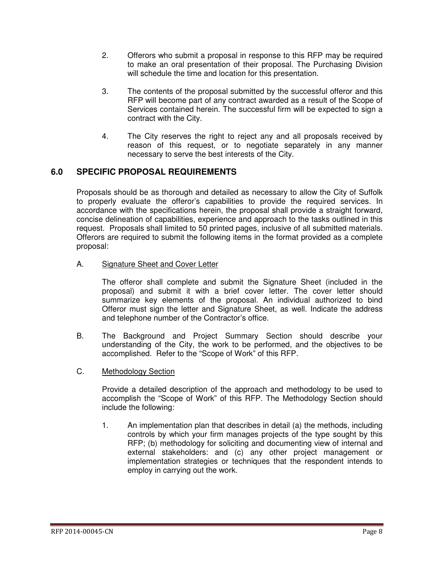- 2. Offerors who submit a proposal in response to this RFP may be required to make an oral presentation of their proposal. The Purchasing Division will schedule the time and location for this presentation.
- 3. The contents of the proposal submitted by the successful offeror and this RFP will become part of any contract awarded as a result of the Scope of Services contained herein. The successful firm will be expected to sign a contract with the City.
- 4. The City reserves the right to reject any and all proposals received by reason of this request, or to negotiate separately in any manner necessary to serve the best interests of the City.

### **6.0 SPECIFIC PROPOSAL REQUIREMENTS**

Proposals should be as thorough and detailed as necessary to allow the City of Suffolk to properly evaluate the offeror's capabilities to provide the required services. In accordance with the specifications herein, the proposal shall provide a straight forward, concise delineation of capabilities, experience and approach to the tasks outlined in this request. Proposals shall limited to 50 printed pages, inclusive of all submitted materials. Offerors are required to submit the following items in the format provided as a complete proposal:

A. Signature Sheet and Cover Letter

The offeror shall complete and submit the Signature Sheet (included in the proposal) and submit it with a brief cover letter. The cover letter should summarize key elements of the proposal. An individual authorized to bind Offeror must sign the letter and Signature Sheet, as well. Indicate the address and telephone number of the Contractor's office.

- B. The Background and Project Summary Section should describe your understanding of the City, the work to be performed, and the objectives to be accomplished. Refer to the "Scope of Work" of this RFP.
- C. Methodology Section

Provide a detailed description of the approach and methodology to be used to accomplish the "Scope of Work" of this RFP. The Methodology Section should include the following:

1. An implementation plan that describes in detail (a) the methods, including controls by which your firm manages projects of the type sought by this RFP; (b) methodology for soliciting and documenting view of internal and external stakeholders: and (c) any other project management or implementation strategies or techniques that the respondent intends to employ in carrying out the work.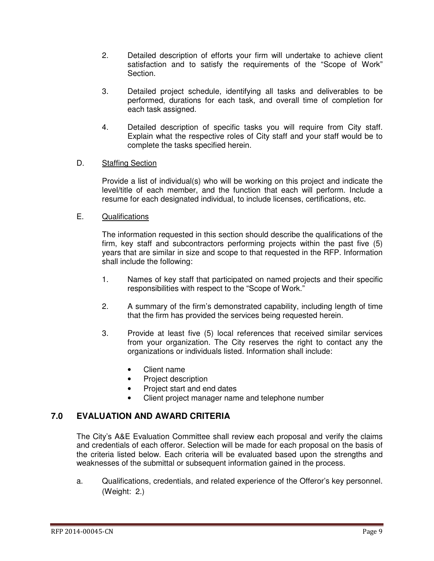- 2. Detailed description of efforts your firm will undertake to achieve client satisfaction and to satisfy the requirements of the "Scope of Work" Section.
- 3. Detailed project schedule, identifying all tasks and deliverables to be performed, durations for each task, and overall time of completion for each task assigned.
- 4. Detailed description of specific tasks you will require from City staff. Explain what the respective roles of City staff and your staff would be to complete the tasks specified herein.

#### D. Staffing Section

Provide a list of individual(s) who will be working on this project and indicate the level/title of each member, and the function that each will perform. Include a resume for each designated individual, to include licenses, certifications, etc.

#### E. Qualifications

The information requested in this section should describe the qualifications of the firm, key staff and subcontractors performing projects within the past five (5) years that are similar in size and scope to that requested in the RFP. Information shall include the following:

- 1. Names of key staff that participated on named projects and their specific responsibilities with respect to the "Scope of Work."
- 2. A summary of the firm's demonstrated capability, including length of time that the firm has provided the services being requested herein.
- 3. Provide at least five (5) local references that received similar services from your organization. The City reserves the right to contact any the organizations or individuals listed. Information shall include:
	- Client name
	- Project description
	- Project start and end dates
	- Client project manager name and telephone number

### **7.0 EVALUATION AND AWARD CRITERIA**

The City's A&E Evaluation Committee shall review each proposal and verify the claims and credentials of each offeror. Selection will be made for each proposal on the basis of the criteria listed below. Each criteria will be evaluated based upon the strengths and weaknesses of the submittal or subsequent information gained in the process.

a. Qualifications, credentials, and related experience of the Offeror's key personnel. (Weight: 2.)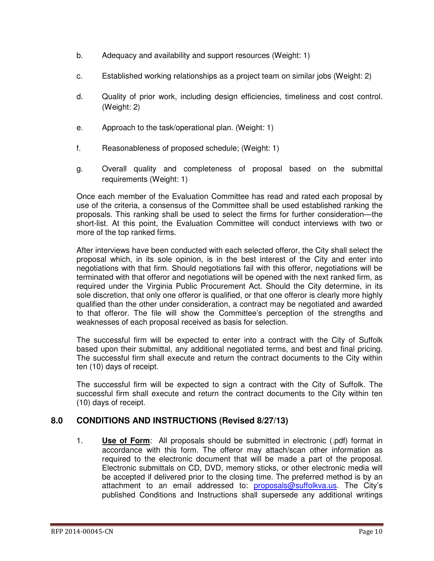- b. Adequacy and availability and support resources (Weight: 1)
- c. Established working relationships as a project team on similar jobs (Weight: 2)
- d. Quality of prior work, including design efficiencies, timeliness and cost control. (Weight: 2)
- e. Approach to the task/operational plan. (Weight: 1)
- f. Reasonableness of proposed schedule; (Weight: 1)
- g. Overall quality and completeness of proposal based on the submittal requirements (Weight: 1)

Once each member of the Evaluation Committee has read and rated each proposal by use of the criteria, a consensus of the Committee shall be used established ranking the proposals. This ranking shall be used to select the firms for further consideration—the short-list. At this point, the Evaluation Committee will conduct interviews with two or more of the top ranked firms.

After interviews have been conducted with each selected offeror, the City shall select the proposal which, in its sole opinion, is in the best interest of the City and enter into negotiations with that firm. Should negotiations fail with this offeror, negotiations will be terminated with that offeror and negotiations will be opened with the next ranked firm, as required under the Virginia Public Procurement Act. Should the City determine, in its sole discretion, that only one offeror is qualified, or that one offeror is clearly more highly qualified than the other under consideration, a contract may be negotiated and awarded to that offeror. The file will show the Committee's perception of the strengths and weaknesses of each proposal received as basis for selection.

The successful firm will be expected to enter into a contract with the City of Suffolk based upon their submittal, any additional negotiated terms, and best and final pricing. The successful firm shall execute and return the contract documents to the City within ten (10) days of receipt.

The successful firm will be expected to sign a contract with the City of Suffolk. The successful firm shall execute and return the contract documents to the City within ten (10) days of receipt.

#### **8.0 CONDITIONS AND INSTRUCTIONS (Revised 8/27/13)**

1. **Use of Form**: All proposals should be submitted in electronic (.pdf) format in accordance with this form. The offeror may attach/scan other information as required to the electronic document that will be made a part of the proposal. Electronic submittals on CD, DVD, memory sticks, or other electronic media will be accepted if delivered prior to the closing time. The preferred method is by an attachment to an email addressed to: proposals@suffolkva.us. The City's published Conditions and Instructions shall supersede any additional writings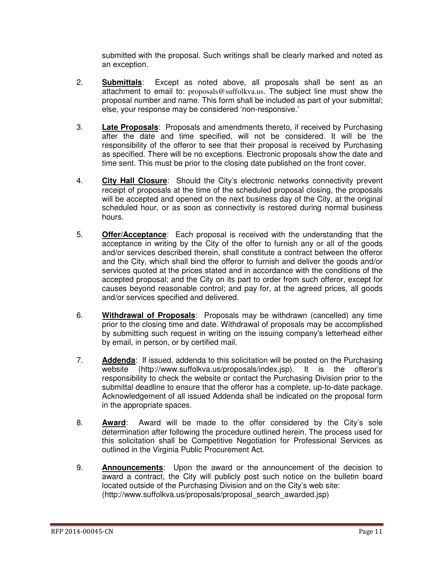submitted with the proposal. Such writings shall be clearly marked and noted as an exception.

- 2. **Submittals**: Except as noted above, all proposals shall be sent as an attachment to email to: proposals@suffolkva.us. The subject line must show the proposal number and name. This form shall be included as part of your submittal; else, your response may be considered 'non-responsive.'
- 3. **Late Proposals**: Proposals and amendments thereto, if received by Purchasing after the date and time specified, will not be considered. It will be the responsibility of the offeror to see that their proposal is received by Purchasing as specified. There will be no exceptions. Electronic proposals show the date and time sent. This must be prior to the closing date published on the front cover.
- 4. **City Hall Closure**: Should the City's electronic networks connectivity prevent receipt of proposals at the time of the scheduled proposal closing, the proposals will be accepted and opened on the next business day of the City, at the original scheduled hour, or as soon as connectivity is restored during normal business hours.
- 5. **Offer/Acceptance**: Each proposal is received with the understanding that the acceptance in writing by the City of the offer to furnish any or all of the goods and/or services described therein, shall constitute a contract between the offeror and the City, which shall bind the offeror to furnish and deliver the goods and/or services quoted at the prices stated and in accordance with the conditions of the accepted proposal; and the City on its part to order from such offeror, except for causes beyond reasonable control; and pay for, at the agreed prices, all goods and/or services specified and delivered.
- 6. **Withdrawal of Proposals**: Proposals may be withdrawn (cancelled) any time prior to the closing time and date. Withdrawal of proposals may be accomplished by submitting such request in writing on the issuing company's letterhead either by email, in person, or by certified mail.
- 7. **Addenda**: If issued, addenda to this solicitation will be posted on the Purchasing website (http://www.suffolkva.us/proposals/index.jsp). It is the offeror's responsibility to check the website or contact the Purchasing Division prior to the submittal deadline to ensure that the offeror has a complete, up-to-date package. Acknowledgement of all issued Addenda shall be indicated on the proposal form in the appropriate spaces.
- 8. **Award**: Award will be made to the offer considered by the City's sole determination after following the procedure outlined herein. The process used for this solicitation shall be Competitive Negotiation for Professional Services as outlined in the Virginia Public Procurement Act.
- 9. **Announcements**: Upon the award or the announcement of the decision to award a contract, the City will publicly post such notice on the bulletin board located outside of the Purchasing Division and on the City's web site: (http://www.suffolkva.us/proposals/proposal\_search\_awarded.jsp)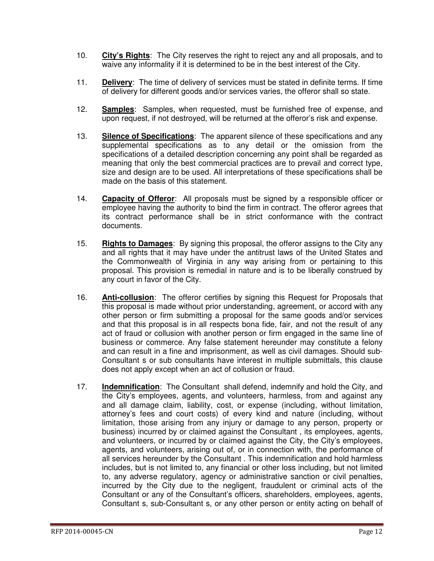- 10. **City's Rights**: The City reserves the right to reject any and all proposals, and to waive any informality if it is determined to be in the best interest of the City.
- 11. **Delivery**: The time of delivery of services must be stated in definite terms. If time of delivery for different goods and/or services varies, the offeror shall so state.
- 12. **Samples**: Samples, when requested, must be furnished free of expense, and upon request, if not destroyed, will be returned at the offeror's risk and expense.
- 13. **Silence of Specifications**: The apparent silence of these specifications and any supplemental specifications as to any detail or the omission from the specifications of a detailed description concerning any point shall be regarded as meaning that only the best commercial practices are to prevail and correct type, size and design are to be used. All interpretations of these specifications shall be made on the basis of this statement.
- 14. **Capacity of Offeror**: All proposals must be signed by a responsible officer or employee having the authority to bind the firm in contract. The offeror agrees that its contract performance shall be in strict conformance with the contract documents.
- 15. **Rights to Damages**: By signing this proposal, the offeror assigns to the City any and all rights that it may have under the antitrust laws of the United States and the Commonwealth of Virginia in any way arising from or pertaining to this proposal. This provision is remedial in nature and is to be liberally construed by any court in favor of the City.
- 16. **Anti-collusion**: The offeror certifies by signing this Request for Proposals that this proposal is made without prior understanding, agreement, or accord with any other person or firm submitting a proposal for the same goods and/or services and that this proposal is in all respects bona fide, fair, and not the result of any act of fraud or collusion with another person or firm engaged in the same line of business or commerce. Any false statement hereunder may constitute a felony and can result in a fine and imprisonment, as well as civil damages. Should sub-Consultant s or sub consultants have interest in multiple submittals, this clause does not apply except when an act of collusion or fraud.
- 17. **Indemnification**: The Consultant shall defend, indemnify and hold the City, and the City's employees, agents, and volunteers, harmless, from and against any and all damage claim, liability, cost, or expense (including, without limitation, attorney's fees and court costs) of every kind and nature (including, without limitation, those arising from any injury or damage to any person, property or business) incurred by or claimed against the Consultant , its employees, agents, and volunteers, or incurred by or claimed against the City, the City's employees, agents, and volunteers, arising out of, or in connection with, the performance of all services hereunder by the Consultant . This indemnification and hold harmless includes, but is not limited to, any financial or other loss including, but not limited to, any adverse regulatory, agency or administrative sanction or civil penalties, incurred by the City due to the negligent, fraudulent or criminal acts of the Consultant or any of the Consultant's officers, shareholders, employees, agents, Consultant s, sub-Consultant s, or any other person or entity acting on behalf of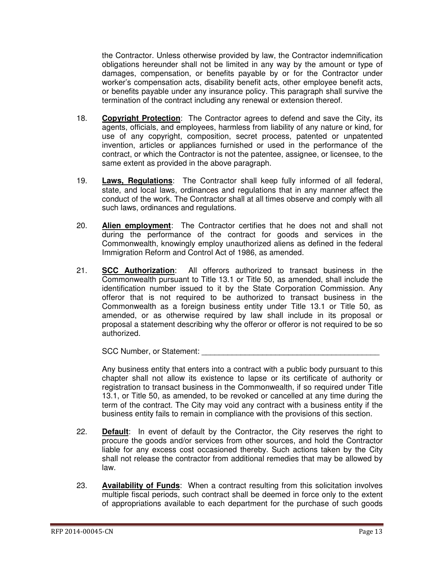the Contractor. Unless otherwise provided by law, the Contractor indemnification obligations hereunder shall not be limited in any way by the amount or type of damages, compensation, or benefits payable by or for the Contractor under worker's compensation acts, disability benefit acts, other employee benefit acts, or benefits payable under any insurance policy. This paragraph shall survive the termination of the contract including any renewal or extension thereof.

- 18. **Copyright Protection**: The Contractor agrees to defend and save the City, its agents, officials, and employees, harmless from liability of any nature or kind, for use of any copyright, composition, secret process, patented or unpatented invention, articles or appliances furnished or used in the performance of the contract, or which the Contractor is not the patentee, assignee, or licensee, to the same extent as provided in the above paragraph.
- 19. **Laws, Regulations**: The Contractor shall keep fully informed of all federal, state, and local laws, ordinances and regulations that in any manner affect the conduct of the work. The Contractor shall at all times observe and comply with all such laws, ordinances and regulations.
- 20. **Alien employment**: The Contractor certifies that he does not and shall not during the performance of the contract for goods and services in the Commonwealth, knowingly employ unauthorized aliens as defined in the federal Immigration Reform and Control Act of 1986, as amended.
- 21. **SCC Authorization**: All offerors authorized to transact business in the Commonwealth pursuant to Title 13.1 or Title 50, as amended, shall include the identification number issued to it by the State Corporation Commission. Any offeror that is not required to be authorized to transact business in the Commonwealth as a foreign business entity under Title 13.1 or Title 50, as amended, or as otherwise required by law shall include in its proposal or proposal a statement describing why the offeror or offeror is not required to be so authorized.

SCC Number, or Statement:

Any business entity that enters into a contract with a public body pursuant to this chapter shall not allow its existence to lapse or its certificate of authority or registration to transact business in the Commonwealth, if so required under Title 13.1, or Title 50, as amended, to be revoked or cancelled at any time during the term of the contract. The City may void any contract with a business entity if the business entity fails to remain in compliance with the provisions of this section.

- 22. **Default**: In event of default by the Contractor, the City reserves the right to procure the goods and/or services from other sources, and hold the Contractor liable for any excess cost occasioned thereby. Such actions taken by the City shall not release the contractor from additional remedies that may be allowed by law.
- 23. **Availability of Funds**: When a contract resulting from this solicitation involves multiple fiscal periods, such contract shall be deemed in force only to the extent of appropriations available to each department for the purchase of such goods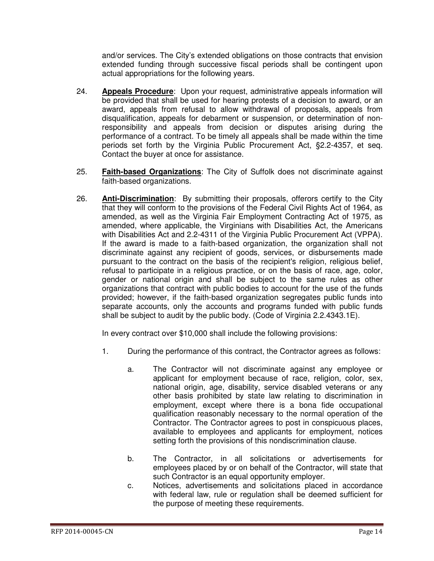and/or services. The City's extended obligations on those contracts that envision extended funding through successive fiscal periods shall be contingent upon actual appropriations for the following years.

- 24. **Appeals Procedure**: Upon your request, administrative appeals information will be provided that shall be used for hearing protests of a decision to award, or an award, appeals from refusal to allow withdrawal of proposals, appeals from disqualification, appeals for debarment or suspension, or determination of nonresponsibility and appeals from decision or disputes arising during the performance of a contract. To be timely all appeals shall be made within the time periods set forth by the Virginia Public Procurement Act, §2.2-4357, et seq. Contact the buyer at once for assistance.
- 25. **Faith-based Organizations**: The City of Suffolk does not discriminate against faith-based organizations.
- 26. **Anti-Discrimination**: By submitting their proposals, offerors certify to the City that they will conform to the provisions of the Federal Civil Rights Act of 1964, as amended, as well as the Virginia Fair Employment Contracting Act of 1975, as amended, where applicable, the Virginians with Disabilities Act, the Americans with Disabilities Act and 2.2-4311 of the Virginia Public Procurement Act (VPPA). If the award is made to a faith-based organization, the organization shall not discriminate against any recipient of goods, services, or disbursements made pursuant to the contract on the basis of the recipient's religion, religious belief, refusal to participate in a religious practice, or on the basis of race, age, color, gender or national origin and shall be subject to the same rules as other organizations that contract with public bodies to account for the use of the funds provided; however, if the faith-based organization segregates public funds into separate accounts, only the accounts and programs funded with public funds shall be subject to audit by the public body. (Code of Virginia 2.2.4343.1E).

In every contract over \$10,000 shall include the following provisions:

- 1. During the performance of this contract, the Contractor agrees as follows:
	- a. The Contractor will not discriminate against any employee or applicant for employment because of race, religion, color, sex, national origin, age, disability, service disabled veterans or any other basis prohibited by state law relating to discrimination in employment, except where there is a bona fide occupational qualification reasonably necessary to the normal operation of the Contractor. The Contractor agrees to post in conspicuous places, available to employees and applicants for employment, notices setting forth the provisions of this nondiscrimination clause.
	- b. The Contractor, in all solicitations or advertisements for employees placed by or on behalf of the Contractor, will state that such Contractor is an equal opportunity employer.
	- c. Notices, advertisements and solicitations placed in accordance with federal law, rule or regulation shall be deemed sufficient for the purpose of meeting these requirements.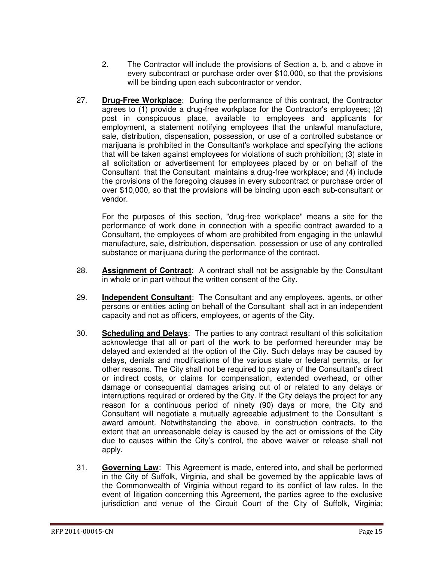- 2. The Contractor will include the provisions of Section a, b, and c above in every subcontract or purchase order over \$10,000, so that the provisions will be binding upon each subcontractor or vendor.
- 27. **Drug-Free Workplace**: During the performance of this contract, the Contractor agrees to (1) provide a drug-free workplace for the Contractor's employees; (2) post in conspicuous place, available to employees and applicants for employment, a statement notifying employees that the unlawful manufacture, sale, distribution, dispensation, possession, or use of a controlled substance or marijuana is prohibited in the Consultant's workplace and specifying the actions that will be taken against employees for violations of such prohibition; (3) state in all solicitation or advertisement for employees placed by or on behalf of the Consultant that the Consultant maintains a drug-free workplace; and (4) include the provisions of the foregoing clauses in every subcontract or purchase order of over \$10,000, so that the provisions will be binding upon each sub-consultant or vendor.

For the purposes of this section, "drug-free workplace" means a site for the performance of work done in connection with a specific contract awarded to a Consultant, the employees of whom are prohibited from engaging in the unlawful manufacture, sale, distribution, dispensation, possession or use of any controlled substance or marijuana during the performance of the contract.

- 28. **Assignment of Contract**: A contract shall not be assignable by the Consultant in whole or in part without the written consent of the City.
- 29. **Independent Consultant**: The Consultant and any employees, agents, or other persons or entities acting on behalf of the Consultant shall act in an independent capacity and not as officers, employees, or agents of the City.
- 30. **Scheduling and Delays**: The parties to any contract resultant of this solicitation acknowledge that all or part of the work to be performed hereunder may be delayed and extended at the option of the City. Such delays may be caused by delays, denials and modifications of the various state or federal permits, or for other reasons. The City shall not be required to pay any of the Consultant's direct or indirect costs, or claims for compensation, extended overhead, or other damage or consequential damages arising out of or related to any delays or interruptions required or ordered by the City. If the City delays the project for any reason for a continuous period of ninety (90) days or more, the City and Consultant will negotiate a mutually agreeable adjustment to the Consultant 's award amount. Notwithstanding the above, in construction contracts, to the extent that an unreasonable delay is caused by the act or omissions of the City due to causes within the City's control, the above waiver or release shall not apply.
- 31. **Governing Law**: This Agreement is made, entered into, and shall be performed in the City of Suffolk, Virginia, and shall be governed by the applicable laws of the Commonwealth of Virginia without regard to its conflict of law rules. In the event of litigation concerning this Agreement, the parties agree to the exclusive jurisdiction and venue of the Circuit Court of the City of Suffolk, Virginia;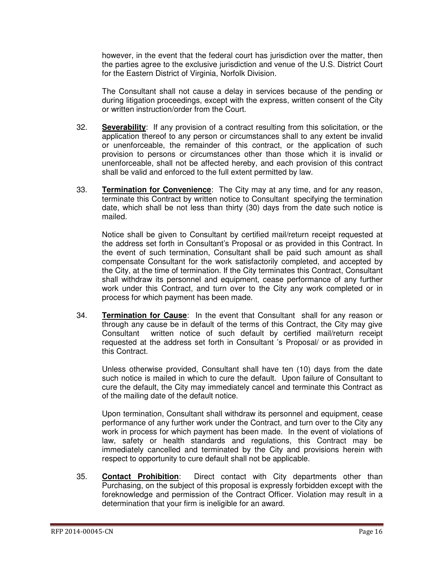however, in the event that the federal court has jurisdiction over the matter, then the parties agree to the exclusive jurisdiction and venue of the U.S. District Court for the Eastern District of Virginia, Norfolk Division.

The Consultant shall not cause a delay in services because of the pending or during litigation proceedings, except with the express, written consent of the City or written instruction/order from the Court.

- 32. **Severability**: If any provision of a contract resulting from this solicitation, or the application thereof to any person or circumstances shall to any extent be invalid or unenforceable, the remainder of this contract, or the application of such provision to persons or circumstances other than those which it is invalid or unenforceable, shall not be affected hereby, and each provision of this contract shall be valid and enforced to the full extent permitted by law.
- 33. **Termination for Convenience**: The City may at any time, and for any reason, terminate this Contract by written notice to Consultant specifying the termination date, which shall be not less than thirty (30) days from the date such notice is mailed.

Notice shall be given to Consultant by certified mail/return receipt requested at the address set forth in Consultant's Proposal or as provided in this Contract. In the event of such termination, Consultant shall be paid such amount as shall compensate Consultant for the work satisfactorily completed, and accepted by the City, at the time of termination. If the City terminates this Contract, Consultant shall withdraw its personnel and equipment, cease performance of any further work under this Contract, and turn over to the City any work completed or in process for which payment has been made.

34. **Termination for Cause**: In the event that Consultant shall for any reason or through any cause be in default of the terms of this Contract, the City may give Consultant written notice of such default by certified mail/return receipt requested at the address set forth in Consultant 's Proposal/ or as provided in this Contract.

Unless otherwise provided, Consultant shall have ten (10) days from the date such notice is mailed in which to cure the default. Upon failure of Consultant to cure the default, the City may immediately cancel and terminate this Contract as of the mailing date of the default notice.

Upon termination, Consultant shall withdraw its personnel and equipment, cease performance of any further work under the Contract, and turn over to the City any work in process for which payment has been made. In the event of violations of law, safety or health standards and regulations, this Contract may be immediately cancelled and terminated by the City and provisions herein with respect to opportunity to cure default shall not be applicable.

35. **Contact Prohibition**: Direct contact with City departments other than Purchasing, on the subject of this proposal is expressly forbidden except with the foreknowledge and permission of the Contract Officer. Violation may result in a determination that your firm is ineligible for an award.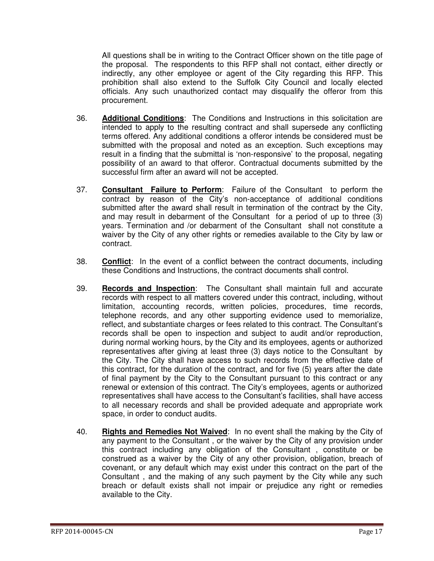All questions shall be in writing to the Contract Officer shown on the title page of the proposal. The respondents to this RFP shall not contact, either directly or indirectly, any other employee or agent of the City regarding this RFP. This prohibition shall also extend to the Suffolk City Council and locally elected officials. Any such unauthorized contact may disqualify the offeror from this procurement.

- 36. **Additional Conditions**: The Conditions and Instructions in this solicitation are intended to apply to the resulting contract and shall supersede any conflicting terms offered. Any additional conditions a offeror intends be considered must be submitted with the proposal and noted as an exception. Such exceptions may result in a finding that the submittal is 'non-responsive' to the proposal, negating possibility of an award to that offeror. Contractual documents submitted by the successful firm after an award will not be accepted.
- 37. **Consultant Failure to Perform**: Failure of the Consultant to perform the contract by reason of the City's non-acceptance of additional conditions submitted after the award shall result in termination of the contract by the City, and may result in debarment of the Consultant for a period of up to three (3) years. Termination and /or debarment of the Consultant shall not constitute a waiver by the City of any other rights or remedies available to the City by law or contract.
- 38. **Conflict**: In the event of a conflict between the contract documents, including these Conditions and Instructions, the contract documents shall control.
- 39. **Records and Inspection**: The Consultant shall maintain full and accurate records with respect to all matters covered under this contract, including, without limitation, accounting records, written policies, procedures, time records, telephone records, and any other supporting evidence used to memorialize, reflect, and substantiate charges or fees related to this contract. The Consultant's records shall be open to inspection and subject to audit and/or reproduction, during normal working hours, by the City and its employees, agents or authorized representatives after giving at least three (3) days notice to the Consultant by the City. The City shall have access to such records from the effective date of this contract, for the duration of the contract, and for five (5) years after the date of final payment by the City to the Consultant pursuant to this contract or any renewal or extension of this contract. The City's employees, agents or authorized representatives shall have access to the Consultant's facilities, shall have access to all necessary records and shall be provided adequate and appropriate work space, in order to conduct audits.
- 40. **Rights and Remedies Not Waived**: In no event shall the making by the City of any payment to the Consultant , or the waiver by the City of any provision under this contract including any obligation of the Consultant , constitute or be construed as a waiver by the City of any other provision, obligation, breach of covenant, or any default which may exist under this contract on the part of the Consultant , and the making of any such payment by the City while any such breach or default exists shall not impair or prejudice any right or remedies available to the City.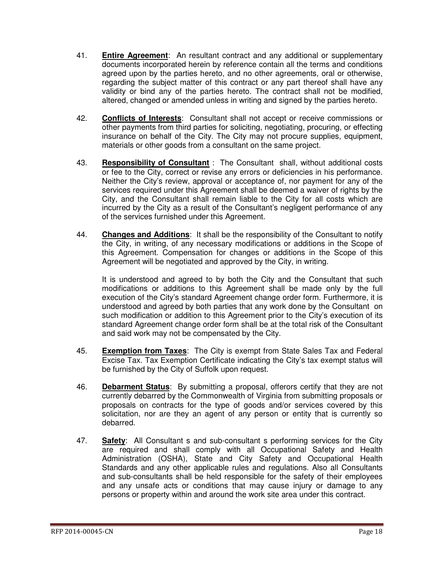- 41. **Entire Agreement**: An resultant contract and any additional or supplementary documents incorporated herein by reference contain all the terms and conditions agreed upon by the parties hereto, and no other agreements, oral or otherwise, regarding the subject matter of this contract or any part thereof shall have any validity or bind any of the parties hereto. The contract shall not be modified, altered, changed or amended unless in writing and signed by the parties hereto.
- 42. **Conflicts of Interests**: Consultant shall not accept or receive commissions or other payments from third parties for soliciting, negotiating, procuring, or effecting insurance on behalf of the City. The City may not procure supplies, equipment, materials or other goods from a consultant on the same project.
- 43. **Responsibility of Consultant** : The Consultant shall, without additional costs or fee to the City, correct or revise any errors or deficiencies in his performance. Neither the City's review, approval or acceptance of, nor payment for any of the services required under this Agreement shall be deemed a waiver of rights by the City, and the Consultant shall remain liable to the City for all costs which are incurred by the City as a result of the Consultant's negligent performance of any of the services furnished under this Agreement.
- 44. **Changes and Additions**: It shall be the responsibility of the Consultant to notify the City, in writing, of any necessary modifications or additions in the Scope of this Agreement. Compensation for changes or additions in the Scope of this Agreement will be negotiated and approved by the City, in writing.

It is understood and agreed to by both the City and the Consultant that such modifications or additions to this Agreement shall be made only by the full execution of the City's standard Agreement change order form. Furthermore, it is understood and agreed by both parties that any work done by the Consultant on such modification or addition to this Agreement prior to the City's execution of its standard Agreement change order form shall be at the total risk of the Consultant and said work may not be compensated by the City.

- 45. **Exemption from Taxes**: The City is exempt from State Sales Tax and Federal Excise Tax. Tax Exemption Certificate indicating the City's tax exempt status will be furnished by the City of Suffolk upon request.
- 46. **Debarment Status**: By submitting a proposal, offerors certify that they are not currently debarred by the Commonwealth of Virginia from submitting proposals or proposals on contracts for the type of goods and/or services covered by this solicitation, nor are they an agent of any person or entity that is currently so debarred.
- 47. **Safety**: All Consultant s and sub-consultant s performing services for the City are required and shall comply with all Occupational Safety and Health Administration (OSHA), State and City Safety and Occupational Health Standards and any other applicable rules and regulations. Also all Consultants and sub-consultants shall be held responsible for the safety of their employees and any unsafe acts or conditions that may cause injury or damage to any persons or property within and around the work site area under this contract.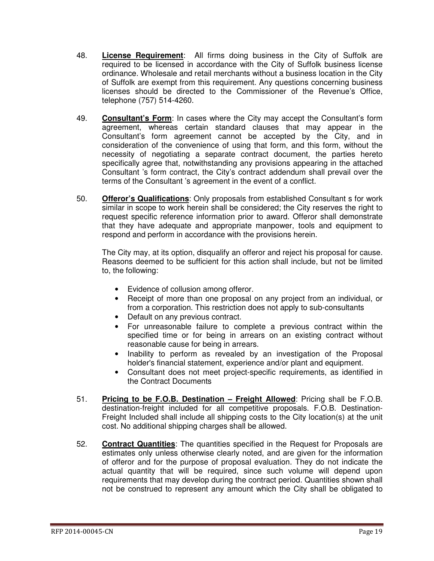- 48. **License Requirement**: All firms doing business in the City of Suffolk are required to be licensed in accordance with the City of Suffolk business license ordinance. Wholesale and retail merchants without a business location in the City of Suffolk are exempt from this requirement. Any questions concerning business licenses should be directed to the Commissioner of the Revenue's Office, telephone (757) 514-4260.
- 49. **Consultant's Form**: In cases where the City may accept the Consultant's form agreement, whereas certain standard clauses that may appear in the Consultant's form agreement cannot be accepted by the City, and in consideration of the convenience of using that form, and this form, without the necessity of negotiating a separate contract document, the parties hereto specifically agree that, notwithstanding any provisions appearing in the attached Consultant 's form contract, the City's contract addendum shall prevail over the terms of the Consultant 's agreement in the event of a conflict.
- 50. **Offeror's Qualifications**: Only proposals from established Consultant s for work similar in scope to work herein shall be considered; the City reserves the right to request specific reference information prior to award. Offeror shall demonstrate that they have adequate and appropriate manpower, tools and equipment to respond and perform in accordance with the provisions herein.

The City may, at its option, disqualify an offeror and reject his proposal for cause. Reasons deemed to be sufficient for this action shall include, but not be limited to, the following:

- Evidence of collusion among offeror.
- Receipt of more than one proposal on any project from an individual, or from a corporation. This restriction does not apply to sub-consultants
- Default on any previous contract.
- For unreasonable failure to complete a previous contract within the specified time or for being in arrears on an existing contract without reasonable cause for being in arrears.
- Inability to perform as revealed by an investigation of the Proposal holder's financial statement, experience and/or plant and equipment.
- Consultant does not meet project-specific requirements, as identified in the Contract Documents
- 51. **Pricing to be F.O.B. Destination Freight Allowed**: Pricing shall be F.O.B. destination-freight included for all competitive proposals. F.O.B. Destination-Freight Included shall include all shipping costs to the City location(s) at the unit cost. No additional shipping charges shall be allowed.
- 52. **Contract Quantities**: The quantities specified in the Request for Proposals are estimates only unless otherwise clearly noted, and are given for the information of offeror and for the purpose of proposal evaluation. They do not indicate the actual quantity that will be required, since such volume will depend upon requirements that may develop during the contract period. Quantities shown shall not be construed to represent any amount which the City shall be obligated to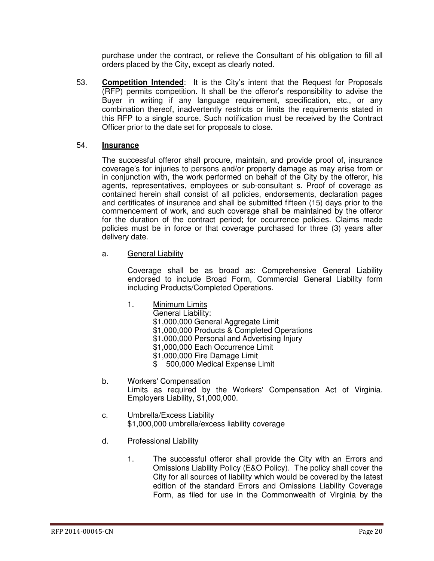purchase under the contract, or relieve the Consultant of his obligation to fill all orders placed by the City, except as clearly noted.

53. **Competition Intended**: It is the City's intent that the Request for Proposals (RFP) permits competition. It shall be the offeror's responsibility to advise the Buyer in writing if any language requirement, specification, etc., or any combination thereof, inadvertently restricts or limits the requirements stated in this RFP to a single source. Such notification must be received by the Contract Officer prior to the date set for proposals to close.

#### 54. **Insurance**

The successful offeror shall procure, maintain, and provide proof of, insurance coverage's for injuries to persons and/or property damage as may arise from or in conjunction with, the work performed on behalf of the City by the offeror, his agents, representatives, employees or sub-consultant s. Proof of coverage as contained herein shall consist of all policies, endorsements, declaration pages and certificates of insurance and shall be submitted fifteen (15) days prior to the commencement of work, and such coverage shall be maintained by the offeror for the duration of the contract period; for occurrence policies. Claims made policies must be in force or that coverage purchased for three (3) years after delivery date.

a. General Liability

 Coverage shall be as broad as: Comprehensive General Liability endorsed to include Broad Form, Commercial General Liability form including Products/Completed Operations.

- 1. Minimum Limits
	- General Liability:

\$1,000,000 General Aggregate Limit

- \$1,000,000 Products & Completed Operations
- \$1,000,000 Personal and Advertising Injury
- \$1,000,000 Each Occurrence Limit
- \$1,000,000 Fire Damage Limit
- \$ 500,000 Medical Expense Limit
- b. Workers' Compensation Limits as required by the Workers' Compensation Act of Virginia. Employers Liability, \$1,000,000.
- c. Umbrella/Excess Liability \$1,000,000 umbrella/excess liability coverage
- d. Professional Liability
	- 1. The successful offeror shall provide the City with an Errors and Omissions Liability Policy (E&O Policy). The policy shall cover the City for all sources of liability which would be covered by the latest edition of the standard Errors and Omissions Liability Coverage Form, as filed for use in the Commonwealth of Virginia by the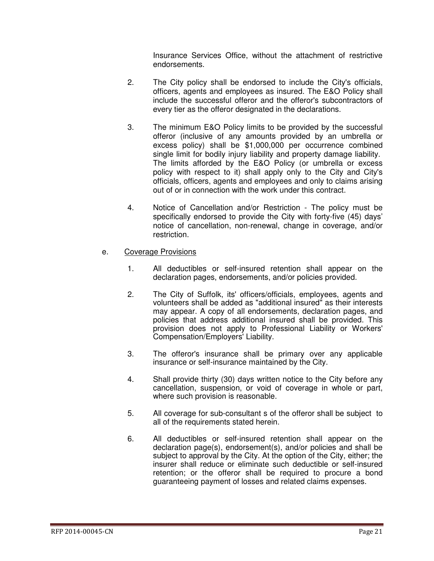Insurance Services Office, without the attachment of restrictive endorsements.

- 2. The City policy shall be endorsed to include the City's officials, officers, agents and employees as insured. The E&O Policy shall include the successful offeror and the offeror's subcontractors of every tier as the offeror designated in the declarations.
- 3. The minimum E&O Policy limits to be provided by the successful offeror (inclusive of any amounts provided by an umbrella or excess policy) shall be \$1,000,000 per occurrence combined single limit for bodily injury liability and property damage liability. The limits afforded by the E&O Policy (or umbrella or excess policy with respect to it) shall apply only to the City and City's officials, officers, agents and employees and only to claims arising out of or in connection with the work under this contract.
- 4. Notice of Cancellation and/or Restriction The policy must be specifically endorsed to provide the City with forty-five (45) days' notice of cancellation, non-renewal, change in coverage, and/or restriction.
- e. Coverage Provisions
	- 1. All deductibles or self-insured retention shall appear on the declaration pages, endorsements, and/or policies provided.
	- 2. The City of Suffolk, its' officers/officials, employees, agents and volunteers shall be added as "additional insured" as their interests may appear. A copy of all endorsements, declaration pages, and policies that address additional insured shall be provided. This provision does not apply to Professional Liability or Workers' Compensation/Employers' Liability.
	- 3. The offeror's insurance shall be primary over any applicable insurance or self-insurance maintained by the City.
	- 4. Shall provide thirty (30) days written notice to the City before any cancellation, suspension, or void of coverage in whole or part, where such provision is reasonable.
	- 5. All coverage for sub-consultant s of the offeror shall be subject to all of the requirements stated herein.
	- 6. All deductibles or self-insured retention shall appear on the declaration page(s), endorsement(s), and/or policies and shall be subject to approval by the City. At the option of the City, either; the insurer shall reduce or eliminate such deductible or self-insured retention; or the offeror shall be required to procure a bond guaranteeing payment of losses and related claims expenses.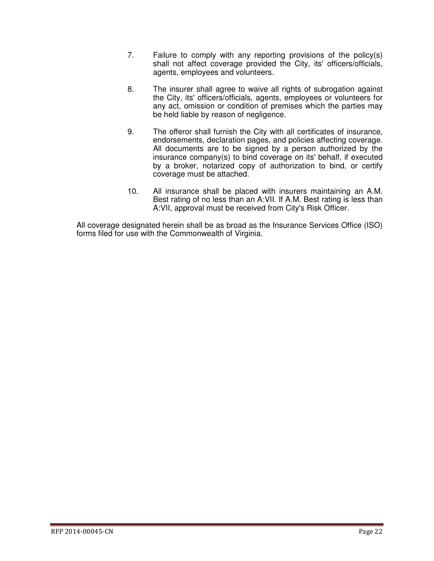- 7. Failure to comply with any reporting provisions of the policy(s) shall not affect coverage provided the City, its' officers/officials, agents, employees and volunteers.
- 8. The insurer shall agree to waive all rights of subrogation against the City, its' officers/officials, agents, employees or volunteers for any act, omission or condition of premises which the parties may be held liable by reason of negligence.
- 9. The offeror shall furnish the City with all certificates of insurance, endorsements, declaration pages, and policies affecting coverage. All documents are to be signed by a person authorized by the insurance company(s) to bind coverage on its' behalf, if executed by a broker, notarized copy of authorization to bind, or certify coverage must be attached.
- 10. All insurance shall be placed with insurers maintaining an A.M. Best rating of no less than an A:VII. If A.M. Best rating is less than A:VII, approval must be received from City's Risk Officer.

All coverage designated herein shall be as broad as the Insurance Services Office (ISO) forms filed for use with the Commonwealth of Virginia.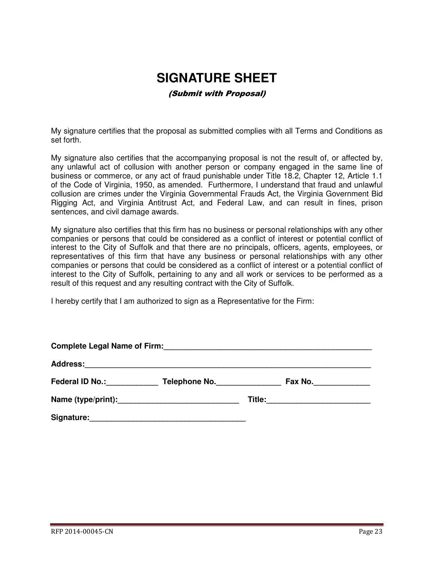## **SIGNATURE SHEET**

#### (Submit with Proposal)

My signature certifies that the proposal as submitted complies with all Terms and Conditions as set forth.

My signature also certifies that the accompanying proposal is not the result of, or affected by, any unlawful act of collusion with another person or company engaged in the same line of business or commerce, or any act of fraud punishable under Title 18.2, Chapter 12, Article 1.1 of the Code of Virginia, 1950, as amended. Furthermore, I understand that fraud and unlawful collusion are crimes under the Virginia Governmental Frauds Act, the Virginia Government Bid Rigging Act, and Virginia Antitrust Act, and Federal Law, and can result in fines, prison sentences, and civil damage awards.

My signature also certifies that this firm has no business or personal relationships with any other companies or persons that could be considered as a conflict of interest or potential conflict of interest to the City of Suffolk and that there are no principals, officers, agents, employees, or representatives of this firm that have any business or personal relationships with any other companies or persons that could be considered as a conflict of interest or a potential conflict of interest to the City of Suffolk, pertaining to any and all work or services to be performed as a result of this request and any resulting contract with the City of Suffolk.

I hereby certify that I am authorized to sign as a Representative for the Firm:

| <b>Complete Legal Name of Firm:</b> |                    |  |         |  |  |  |
|-------------------------------------|--------------------|--|---------|--|--|--|
|                                     |                    |  |         |  |  |  |
| Federal ID No.: Federal ID No.:     | Telephone No.      |  | Fax No. |  |  |  |
|                                     | Name (type/print): |  |         |  |  |  |
| Signature:                          |                    |  |         |  |  |  |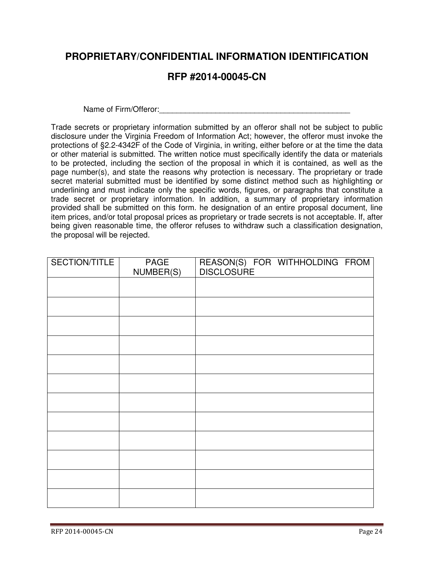## **PROPRIETARY/CONFIDENTIAL INFORMATION IDENTIFICATION**

## **RFP #2014-00045-CN**

Name of Firm/Offeror:

Trade secrets or proprietary information submitted by an offeror shall not be subject to public disclosure under the Virginia Freedom of Information Act; however, the offeror must invoke the protections of §2.2-4342F of the Code of Virginia, in writing, either before or at the time the data or other material is submitted. The written notice must specifically identify the data or materials to be protected, including the section of the proposal in which it is contained, as well as the page number(s), and state the reasons why protection is necessary. The proprietary or trade secret material submitted must be identified by some distinct method such as highlighting or underlining and must indicate only the specific words, figures, or paragraphs that constitute a trade secret or proprietary information. In addition, a summary of proprietary information provided shall be submitted on this form. he designation of an entire proposal document, line item prices, and/or total proposal prices as proprietary or trade secrets is not acceptable. If, after being given reasonable time, the offeror refuses to withdraw such a classification designation, the proposal will be rejected.

| SECTION/TITLE | PAGE      | REASON(S) FOR WITHHOLDING FROM<br>DISCLOSURE |
|---------------|-----------|----------------------------------------------|
|               | NUMBER(S) |                                              |
|               |           |                                              |
|               |           |                                              |
|               |           |                                              |
|               |           |                                              |
|               |           |                                              |
|               |           |                                              |
|               |           |                                              |
|               |           |                                              |
|               |           |                                              |
|               |           |                                              |
|               |           |                                              |
|               |           |                                              |
|               |           |                                              |
|               |           |                                              |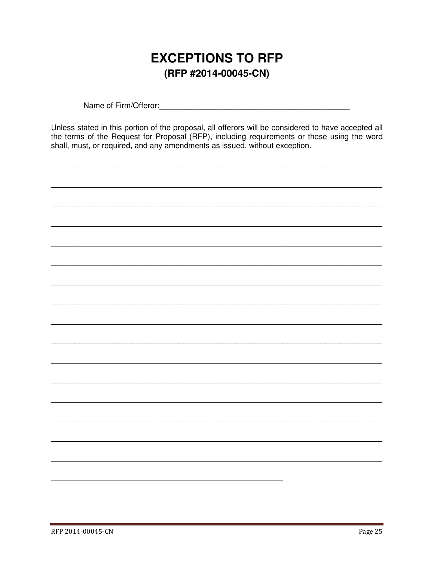## **EXCEPTIONS TO RFP** (RFP #2014-00045-CN)

Unless stated in this portion of the proposal, all offerors will be considered to have accepted all the terms of the Request for Proposal (RFP), including requirements or those using the word shall, must, or required, and any amendments as issued, without exception.

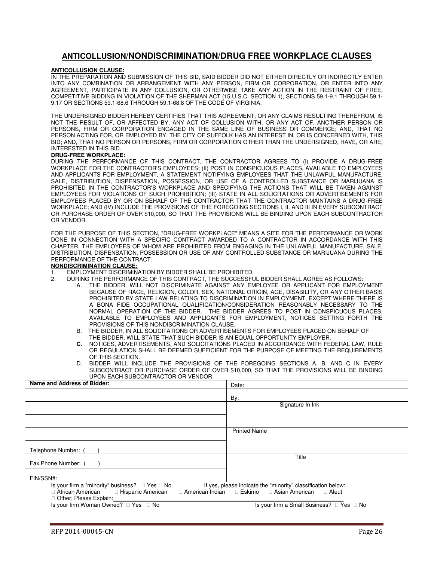#### **ANTICOLLUSION/NONDISCRIMINATION/DRUG FREE WORKPLACE CLAUSES**

#### **ANTICOLLUSION CLAUSE:**

IN THE PREPARATION AND SUBMISSION OF THIS BID, SAID BIDDER DID NOT EITHER DIRECTLY OR INDIRECTLY ENTER INTO ANY COMBINATION OR ARRANGEMENT WITH ANY PERSON, FIRM OR CORPORATION, OR ENTER INTO ANY AGREEMENT, PARTICIPATE IN ANY COLLUSION, OR OTHERWISE TAKE ANY ACTION IN THE RESTRAINT OF FREE, COMPETITIVE BIDDING IN VIOLATION OF THE SHERMAN ACT (15 U.S.C. SECTION 1), SECTIONS 59.1-9.1 THROUGH 59.1- 9.17 OR SECTIONS 59.1-68.6 THROUGH 59.1-68.8 OF THE CODE OF VIRGINIA.

THE UNDERSIGNED BIDDER HEREBY CERTIFIES THAT THIS AGREEMENT, OR ANY CLAIMS RESULTING THEREFROM, IS NOT THE RESULT OF, OR AFFECTED BY, ANY ACT OF COLLUSION WITH, OR ANY ACT OF, ANOTHER PERSON OR PERSONS, FIRM OR CORPORATION ENGAGED IN THE SAME LINE OF BUSINESS OR COMMERCE; AND, THAT NO PERSON ACTING FOR, OR EMPLOYED BY, THE CITY OF SUFFOLK HAS AN INTEREST IN, OR IS CONCERNED WITH, THIS BID; AND, THAT NO PERSON OR PERSONS, FIRM OR CORPORATION OTHER THAN THE UNDERSIGNED, HAVE, OR ARE, INTERESTED IN THIS BID.

#### **DRUG-FREE WORKPLACE:**

DURING THE PERFORMANCE OF THIS CONTRACT, THE CONTRACTOR AGREES TO (I) PROVIDE A DRUG-FREE WORKPLACE FOR THE CONTRACTOR'S EMPLOYEES; (II) POST IN CONSPICUOUS PLACES, AVAILABLE TO EMPLOYEES AND APPLICANTS FOR EMPLOYMENT, A STATEMENT NOTIFYING EMPLOYEES THAT THE UNLAWFUL MANUFACTURE, SALE, DISTRIBUTION, DISPENSATION, POSSESSION, OR USE OF A CONTROLLED SUBSTANCE OR MARIJUANA IS PROHIBITED IN THE CONTRACTOR'S WORKPLACE AND SPECIFYING THE ACTIONS THAT WILL BE TAKEN AGAINST EMPLOYEES FOR VIOLATIONS OF SUCH PROHIBITION; (III) STATE IN ALL SOLICITATIONS OR ADVERTISEMENTS FOR EMPLOYEES PLACED BY OR ON BEHALF OF THE CONTRACTOR THAT THE CONTRACTOR MAINTAINS A DRUG-FREE WORKPLACE; AND (IV) INCLUDE THE PROVISIONS OF THE FOREGOING SECTIONS I, II, AND III IN EVERY SUBCONTRACT OR PURCHASE ORDER OF OVER \$10,000, SO THAT THE PROVISIONS WILL BE BINDING UPON EACH SUBCONTRACTOR OR VENDOR.

FOR THE PURPOSE OF THIS SECTION, "DRUG-FREE WORKPLACE" MEANS A SITE FOR THE PERFORMANCE OR WORK DONE IN CONNECTION WITH A SPECIFIC CONTRACT AWARDED TO A CONTRACTOR IN ACCORDANCE WITH THIS CHAPTER, THE EMPLOYEES OF WHOM ARE PROHIBITED FROM ENGAGING IN THE UNLAWFUL MANUFACTURE, SALE, DISTRIBUTION, DISPENSATION, POSSESSION OR USE OF ANY CONTROLLED SUBSTANCE OR MARIJUANA DURING THE PERFORMANCE OF THE CONTRACT.

#### **NONDISCRIMINATION CLAUSE:**

- 1. EMPLOYMENT DISCRIMINATION BY BIDDER SHALL BE PROHIBITED.<br>2. DURING THE PERFORMANCE OF THIS CONTRACT. THE SUCCESSEL
	- 2. DURING THE PERFORMANCE OF THIS CONTRACT, THE SUCCESSFUL BIDDER SHALL AGREE AS FOLLOWS:
		- A. THE BIDDER, WILL NOT DISCRIMINATE AGAINST ANY EMPLOYEE OR APPLICANT FOR EMPLOYMENT BECAUSE OF RACE, RELIGION, COLOR, SEX, NATIONAL ORIGIN, AGE, DISABILITY, OR ANY OTHER BASIS PROHIBITED BY STATE LAW RELATING TO DISCRIMINATION IN EMPLOYMENT, EXCEPT WHERE THERE IS A BONA FIDE OCCUPATIONAL QUALIFICATION/CONSIDERATION REASONABLY NECESSARY TO THE NORMAL OPERATION OF THE BIDDER. THE BIDDER AGREES TO POST IN CONSPICUOUS PLACES, AVAILABLE TO EMPLOYEES AND APPLICANTS FOR EMPLOYMENT, NOTICES SETTING FORTH THE PROVISIONS OF THIS NONDISCRIMINATION CLAUSE.
		- B. THE BIDDER, IN ALL SOLICITATIONS OR ADVERTISEMENTS FOR EMPLOYEES PLACED ON BEHALF OF THE BIDDER, WILL STATE THAT SUCH BIDDER IS AN EQUAL OPPORTUNITY EMPLOYER.
		- **C.** NOTICES, ADVERTISEMENTS, AND SOLICITATIONS PLACED IN ACCORDANCE WITH FEDERAL LAW, RULE OR REGULATION SHALL BE DEEMED SUFFICIENT FOR THE PURPOSE OF MEETING THE REQUIREMENTS OF THIS SECTION.
		- D. BIDDER WILL INCLUDE THE PROVISIONS OF THE FOREGOING SECTIONS A, B, AND C IN EVERY SUBCONTRACT OR PURCHASE ORDER OF OVER \$10,000, SO THAT THE PROVISIONS WILL BE BINDING UPON EACH SUBCONTRACTOR OR VENDOR.

| Name and Address of Bidder:                                                                                                         | Date:                                                                                             |  |  |
|-------------------------------------------------------------------------------------------------------------------------------------|---------------------------------------------------------------------------------------------------|--|--|
|                                                                                                                                     | By:                                                                                               |  |  |
|                                                                                                                                     | Signature In Ink                                                                                  |  |  |
|                                                                                                                                     |                                                                                                   |  |  |
|                                                                                                                                     | <b>Printed Name</b>                                                                               |  |  |
| Telephone Number: (                                                                                                                 |                                                                                                   |  |  |
| Fax Phone Number: (                                                                                                                 | Title                                                                                             |  |  |
| FIN/SSN#:                                                                                                                           |                                                                                                   |  |  |
| Is your firm a "minority" business?<br>Yes No<br>Hispanic American<br>African American<br>American Indian<br>Other; Please Explain: | If yes, please indicate the "minority" classification below:<br>Asian American<br>Eskimo<br>Aleut |  |  |
| Is your firm Woman Owned?<br>Yes<br>No                                                                                              | Is your firm a Small Business?<br>No<br>Yes                                                       |  |  |